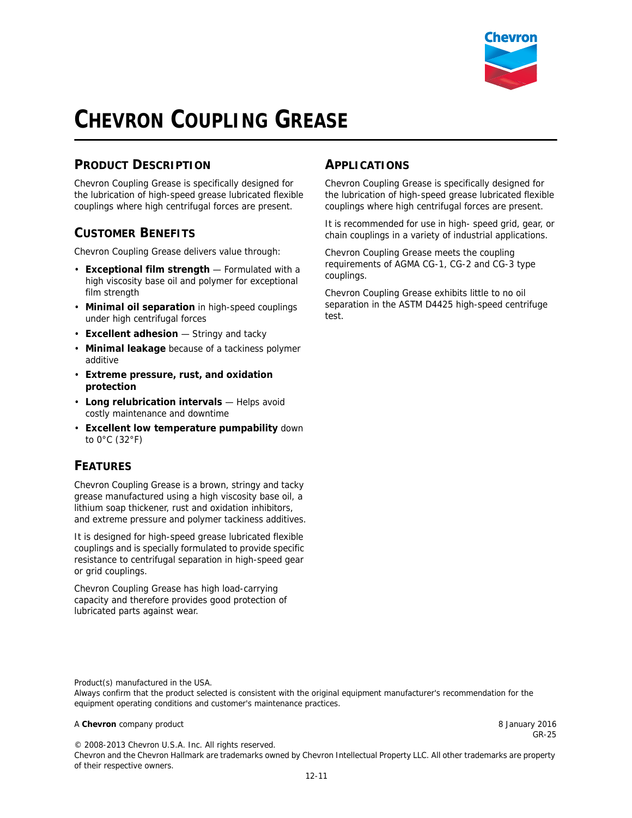

GR-25

# **CHEVRON COUPLING GREASE**

## **PRODUCT DESCRIPTION**

Chevron Coupling Grease is specifically designed for the lubrication of high-speed grease lubricated flexible couplings where high centrifugal forces are present.

### **CUSTOMER BENEFITS**

Chevron Coupling Grease delivers value through:

- **Exceptional film strength** Formulated with a high viscosity base oil and polymer for exceptional film strength
- **Minimal oil separation** in high-speed couplings under high centrifugal forces
- **Excellent adhesion** Stringy and tacky
- **Minimal leakage** because of a tackiness polymer additive
- **Extreme pressure, rust, and oxidation protection**
- **Long relubrication intervals** Helps avoid costly maintenance and downtime
- **Excellent low temperature pumpability** down to 0°C (32°F)

### **FEATURES**

Chevron Coupling Grease is a brown, stringy and tacky grease manufactured using a high viscosity base oil, a lithium soap thickener, rust and oxidation inhibitors, and extreme pressure and polymer tackiness additives.

It is designed for high-speed grease lubricated flexible couplings and is specially formulated to provide specific resistance to centrifugal separation in high-speed gear or grid couplings.

Chevron Coupling Grease has high load-carrying capacity and therefore provides good protection of lubricated parts against wear.

#### **APPLICATIONS**

Chevron Coupling Grease is specifically designed for the lubrication of high-speed grease lubricated flexible couplings where high centrifugal forces are present.

It is recommended for use in high- speed grid, gear, or chain couplings in a variety of industrial applications.

Chevron Coupling Grease meets the coupling requirements of AGMA CG-1, CG-2 and CG-3 type couplings.

Chevron Coupling Grease exhibits little to no oil separation in the ASTM D4425 high-speed centrifuge test.

Product(s) manufactured in the USA.

Always confirm that the product selected is consistent with the original equipment manufacturer's recommendation for the equipment operating conditions and customer's maintenance practices.

#### A **Chevron** company product **8 January 2016 8 January 2016**

© 2008-2013 Chevron U.S.A. Inc. All rights reserved.

Chevron and the Chevron Hallmark are trademarks owned by Chevron Intellectual Property LLC. All other trademarks are property of their respective owners.